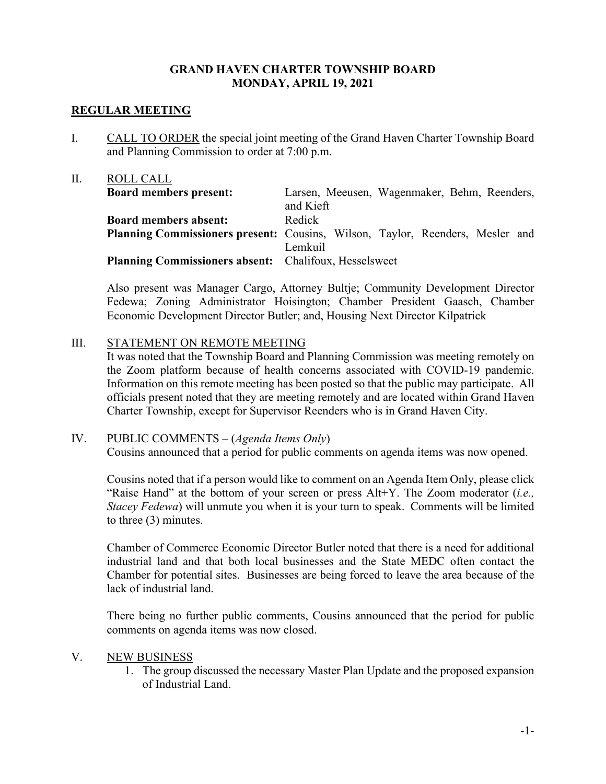# **GRAND HAVEN CHARTER TOWNSHIP BOARD MONDAY, APRIL 19, 2021**

## **REGULAR MEETING**

I. CALL TO ORDER the special joint meeting of the Grand Haven Charter Township Board and Planning Commission to order at 7:00 p.m.

| II. | ROLL CALL                                                                            |           |                                              |
|-----|--------------------------------------------------------------------------------------|-----------|----------------------------------------------|
|     | <b>Board members present:</b>                                                        |           | Larsen, Meeusen, Wagenmaker, Behm, Reenders, |
|     |                                                                                      | and Kieft |                                              |
|     | <b>Board members absent:</b>                                                         | Redick    |                                              |
|     | <b>Planning Commissioners present:</b> Cousins, Wilson, Taylor, Reenders, Mesler and |           |                                              |
|     |                                                                                      | Lemkuil   |                                              |
|     | Planning Commissioners absent: Chalifoux, Hesselsweet                                |           |                                              |
|     |                                                                                      |           |                                              |

Also present was Manager Cargo, Attorney Bultje; Community Development Director Fedewa; Zoning Administrator Hoisington; Chamber President Gaasch, Chamber Economic Development Director Butler; and, Housing Next Director Kilpatrick

## III. STATEMENT ON REMOTE MEETING

It was noted that the Township Board and Planning Commission was meeting remotely on the Zoom platform because of health concerns associated with COVID-19 pandemic. Information on this remote meeting has been posted so that the public may participate. All officials present noted that they are meeting remotely and are located within Grand Haven Charter Township, except for Supervisor Reenders who is in Grand Haven City.

# IV. PUBLIC COMMENTS – (*Agenda Items Only*)

Cousins announced that a period for public comments on agenda items was now opened.

Cousins noted that if a person would like to comment on an Agenda Item Only, please click "Raise Hand" at the bottom of your screen or press Alt+Y. The Zoom moderator (*i.e., Stacey Fedewa*) will unmute you when it is your turn to speak. Comments will be limited to three (3) minutes.

Chamber of Commerce Economic Director Butler noted that there is a need for additional industrial land and that both local businesses and the State MEDC often contact the Chamber for potential sites. Businesses are being forced to leave the area because of the lack of industrial land.

There being no further public comments, Cousins announced that the period for public comments on agenda items was now closed.

#### V. NEW BUSINESS

1. The group discussed the necessary Master Plan Update and the proposed expansion of Industrial Land.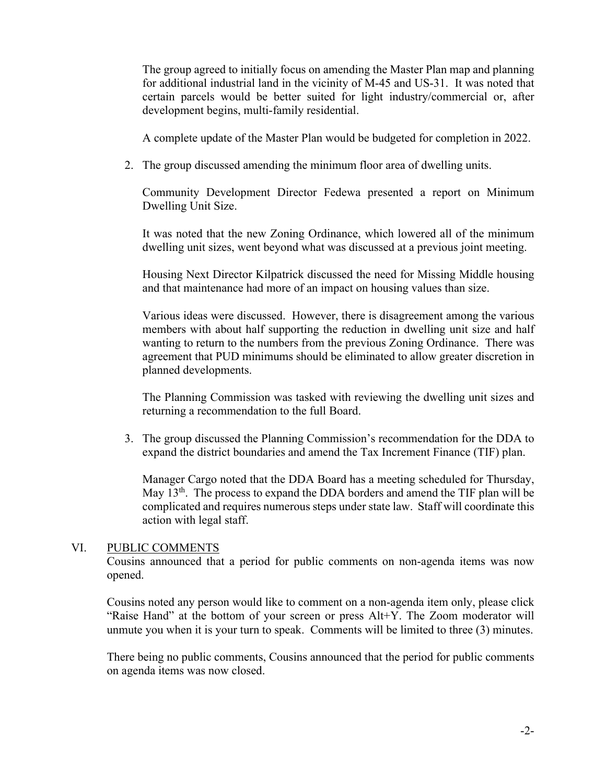The group agreed to initially focus on amending the Master Plan map and planning for additional industrial land in the vicinity of M-45 and US-31. It was noted that certain parcels would be better suited for light industry/commercial or, after development begins, multi-family residential.

A complete update of the Master Plan would be budgeted for completion in 2022.

2. The group discussed amending the minimum floor area of dwelling units.

Community Development Director Fedewa presented a report on Minimum Dwelling Unit Size.

It was noted that the new Zoning Ordinance, which lowered all of the minimum dwelling unit sizes, went beyond what was discussed at a previous joint meeting.

Housing Next Director Kilpatrick discussed the need for Missing Middle housing and that maintenance had more of an impact on housing values than size.

Various ideas were discussed. However, there is disagreement among the various members with about half supporting the reduction in dwelling unit size and half wanting to return to the numbers from the previous Zoning Ordinance. There was agreement that PUD minimums should be eliminated to allow greater discretion in planned developments.

The Planning Commission was tasked with reviewing the dwelling unit sizes and returning a recommendation to the full Board.

3. The group discussed the Planning Commission's recommendation for the DDA to expand the district boundaries and amend the Tax Increment Finance (TIF) plan.

Manager Cargo noted that the DDA Board has a meeting scheduled for Thursday, May  $13<sup>th</sup>$ . The process to expand the DDA borders and amend the TIF plan will be complicated and requires numerous steps under state law. Staff will coordinate this action with legal staff.

#### VI. PUBLIC COMMENTS

Cousins announced that a period for public comments on non-agenda items was now opened.

Cousins noted any person would like to comment on a non-agenda item only, please click "Raise Hand" at the bottom of your screen or press Alt+Y. The Zoom moderator will unmute you when it is your turn to speak. Comments will be limited to three (3) minutes.

There being no public comments, Cousins announced that the period for public comments on agenda items was now closed.